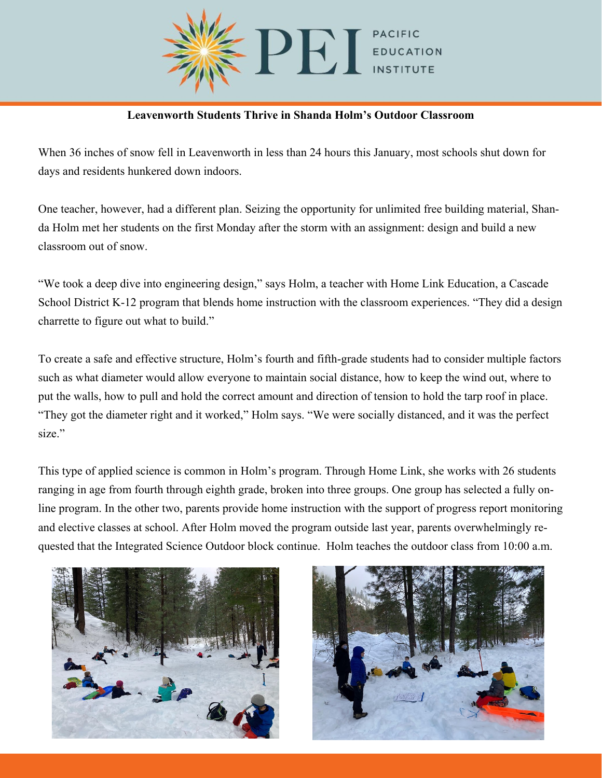

## **Leavenworth Students Thrive in Shanda Holm's Outdoor Classroom**

When 36 inches of snow fell in Leavenworth in less than 24 hours this January, most schools shut down for days and residents hunkered down indoors.

One teacher, however, had a different plan. Seizing the opportunity for unlimited free building material, Shanda Holm met her students on the first Monday after the storm with an assignment: design and build a new classroom out of snow.

"We took a deep dive into engineering design," says Holm, a teacher with Home Link Education, a Cascade School District K-12 program that blends home instruction with the classroom experiences. "They did a design charrette to figure out what to build."

To create a safe and effective structure, Holm's fourth and fifth-grade students had to consider multiple factors such as what diameter would allow everyone to maintain social distance, how to keep the wind out, where to put the walls, how to pull and hold the correct amount and direction of tension to hold the tarp roof in place. "They got the diameter right and it worked," Holm says. "We were socially distanced, and it was the perfect size."

This type of applied science is common in Holm's program. Through Home Link, she works with 26 students ranging in age from fourth through eighth grade, broken into three groups. One group has selected a fully online program. In the other two, parents provide home instruction with the support of progress report monitoring and elective classes at school. After Holm moved the program outside last year, parents overwhelmingly requested that the Integrated Science Outdoor block continue. Holm teaches the outdoor class from 10:00 a.m.



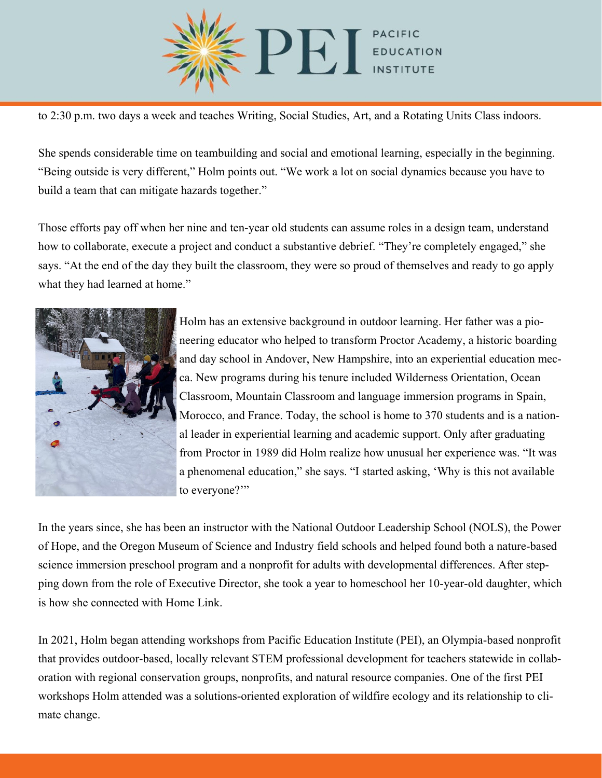

to 2:30 p.m. two days a week and teaches Writing, Social Studies, Art, and a Rotating Units Class indoors.

She spends considerable time on teambuilding and social and emotional learning, especially in the beginning. "Being outside is very different," Holm points out. "We work a lot on social dynamics because you have to build a team that can mitigate hazards together."

Those efforts pay off when her nine and ten-year old students can assume roles in a design team, understand how to collaborate, execute a project and conduct a substantive debrief. "They're completely engaged," she says. "At the end of the day they built the classroom, they were so proud of themselves and ready to go apply what they had learned at home."



Holm has an extensive background in outdoor learning. Her father was a pioneering educator who helped to transform Proctor Academy, a historic boarding and day school in Andover, New Hampshire, into an experiential education mecca. New programs during his tenure included Wilderness Orientation, Ocean Classroom, Mountain Classroom and language immersion programs in Spain, Morocco, and France. Today, the school is home to 370 students and is a national leader in experiential learning and academic support. Only after graduating from Proctor in 1989 did Holm realize how unusual her experience was. "It was a phenomenal education," she says. "I started asking, 'Why is this not available to everyone?"

In the years since, she has been an instructor with the National Outdoor Leadership School (NOLS), the Power of Hope, and the Oregon Museum of Science and Industry field schools and helped found both a nature-based science immersion preschool program and a nonprofit for adults with developmental differences. After stepping down from the role of Executive Director, she took a year to homeschool her 10-year-old daughter, which is how she connected with Home Link.

In 2021, Holm began attending workshops from Pacific Education Institute (PEI), an Olympia-based nonprofit that provides outdoor-based, locally relevant STEM professional development for teachers statewide in collaboration with regional conservation groups, nonprofits, and natural resource companies. One of the first PEI workshops Holm attended was a solutions-oriented exploration of wildfire ecology and its relationship to climate change.